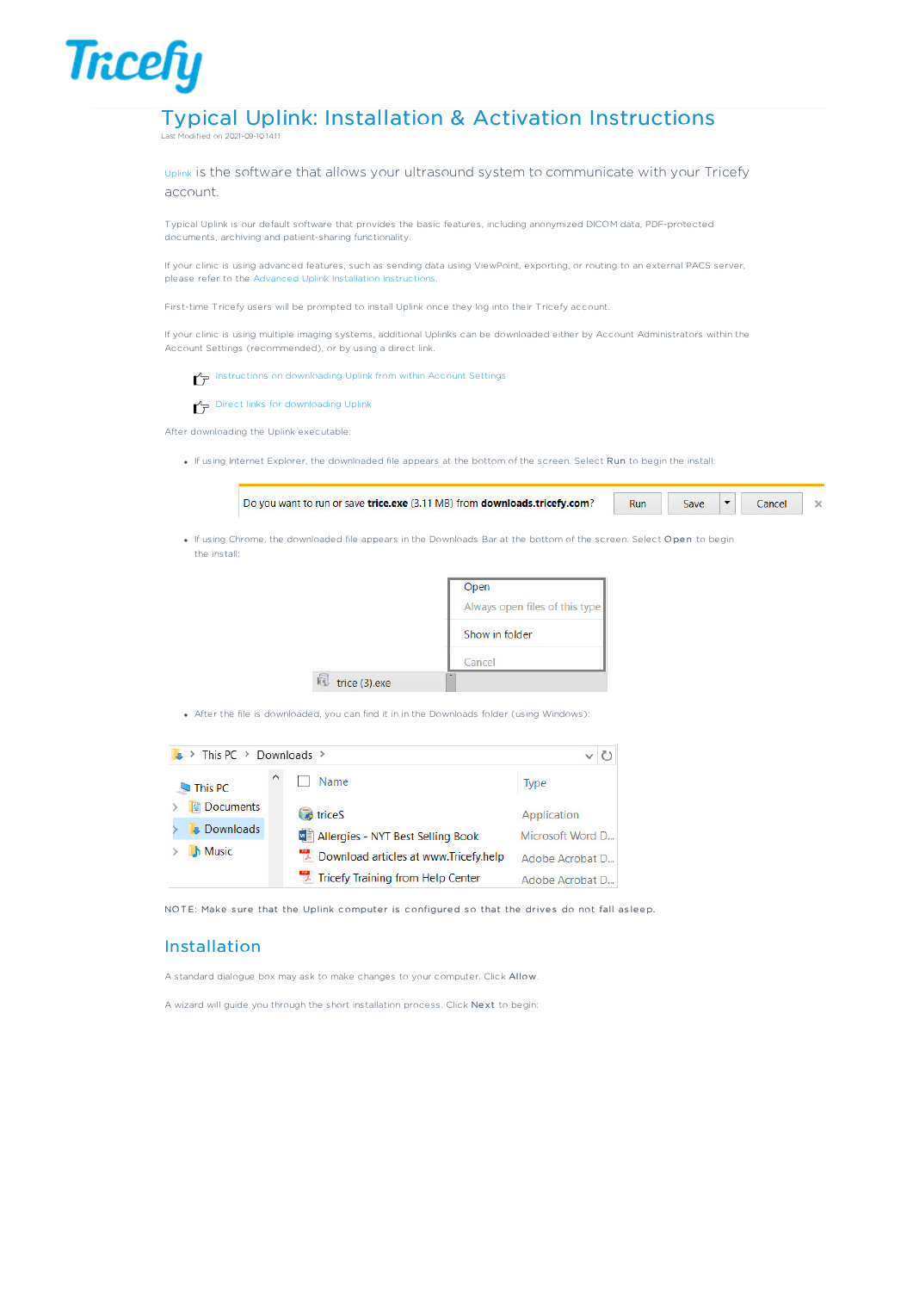### Typical Uplink: Installation & Activation Instructions ۔<br>Stied on 2021-09-10 14:11

**Tricefy** 

Uplink is the software that allows your ultrasound system to communicate with your Tricefy account.

Typical Uplink is our default software that provides the basic features, including anonymized DICOM data, PDF-protected documents, archiving and patient-sharing functionality.

If your clinic is using advanced features, such as sending data using ViewPoint, exporting, or routing to an external PACS server, please refer to the Advanced Uplink Installation Instructions.

First-time Tricefy users will be prompted to install Uplink once they log into their Tricefy account.

If your clinic is using multiple imaging systems, additional Uplinks can be downloaded either by Account Administrators within the Account Settings (recommended), or by using a direct link.

Instructions on downloading Uplink from within Account Settings

 $\rightarrow$  Direct links for downloading Uplink

After downloading the Uplink executable:

If using Internet Explorer, the downloaded file appears at the bottom of the screen. Select Run to begin the install:



• If using Chrome, the downloaded file appears in the Downloads Bar at the bottom of the screen. Select Open to begin the install:



After the file is downloaded, you can find it in in the Downloads folder (using Windows):



NOTE: Make sure that the Uplink computer is configured so that the drives do not fall as leep.

### Installation

A standard dialogue box may ask to make changes to your computer. Click Allow.

A wizard will guide you through the short installation process. Click Next to begin: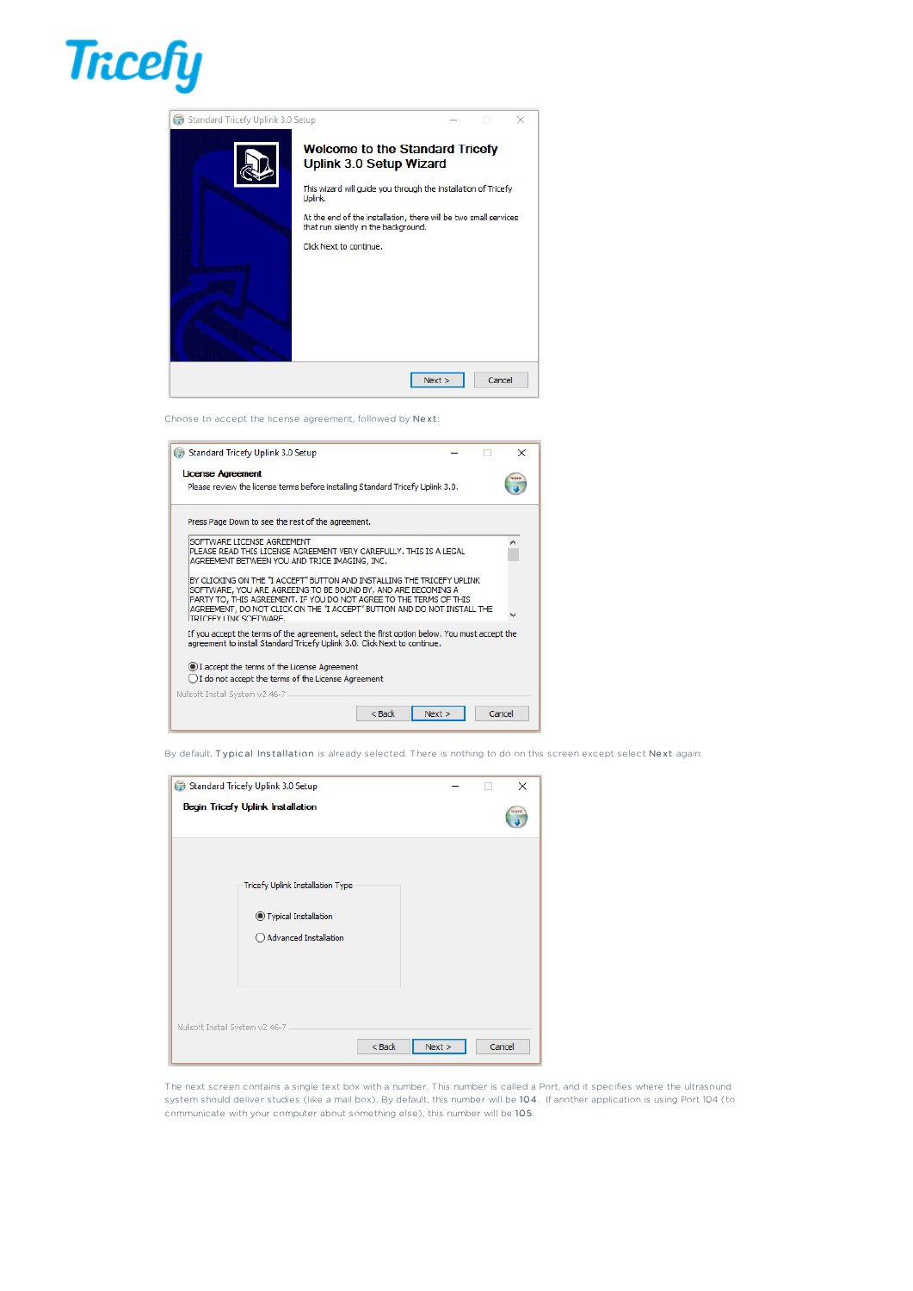

| Standard Tricefy Uplink 3.0 Setup<br>G | ×                                                                                                                                                                                                                                                                                            |
|----------------------------------------|----------------------------------------------------------------------------------------------------------------------------------------------------------------------------------------------------------------------------------------------------------------------------------------------|
|                                        | <b>Welcome to the Standard Tricefy</b><br><b>Uplink 3.0 Setup Wizard</b><br>This wizard will guide you through the installation of Tricefy<br>Uplink.<br>At the end of the installation, there will be two small services<br>that run silently in the background.<br>Click Next to continue. |
|                                        | Cancel<br>Next                                                                                                                                                                                                                                                                               |

Choose to accept the license agreement, followed by Ne xt:

| Standard Tricefy Uplink 3.0 Setup                                                                                                                                                                                                                                                                                   | × |
|---------------------------------------------------------------------------------------------------------------------------------------------------------------------------------------------------------------------------------------------------------------------------------------------------------------------|---|
| License Agreement                                                                                                                                                                                                                                                                                                   |   |
| Please review the license terms before installing Standard Tricefy Uplink 3.0.                                                                                                                                                                                                                                      |   |
| Press Page Down to see the rest of the agreement.                                                                                                                                                                                                                                                                   |   |
| SOFTWARE LICENSE AGREEMENT<br>PLEASE READ THIS LICENSE AGREEMENT VERY CAREFULLY. THIS IS A LEGAL<br>AGREEMENT BETWEEN YOU AND TRICE IMAGING, INC.                                                                                                                                                                   | ^ |
| BY CLICKING ON THE "I ACCEPT" BUTTON AND INSTALLING THE TRICEFY UPLINK<br>SOFTWARE, YOU ARE AGREEING TO BE BOUND BY, AND ARE BECOMING A<br>PARTY TO, THIS AGREEMENT. IF YOU DO NOT AGREE TO THE TERMS OF THIS<br>AGREEMENT, DO NOT CLICK ON THE "I ACCEPT" BUTTON AND DO NOT INSTALL THE<br>TRICEEY I INK SOFTWARE. |   |
| If you accept the terms of the agreement, select the first option below. You must accept the<br>agreement to install Standard Tricefy Uplink 3.0. Click Next to continue.                                                                                                                                           |   |
| (.) I accept the terms of the License Agreement<br>◯ I do not accept the terms of the License Agreement                                                                                                                                                                                                             |   |
| Nullsoft Install System v2.46-7                                                                                                                                                                                                                                                                                     |   |
| $<$ Back<br>Next<br>Cancel                                                                                                                                                                                                                                                                                          |   |

By default, Typical Installation is already selected. There is nothing to do on this screen except select Next again:

| Standard Tricefy Uplink 3.0 Setup<br><b>Begin Tricefy Uplink Installation</b>       |          |      |  | X<br><b>TOMA</b> |
|-------------------------------------------------------------------------------------|----------|------|--|------------------|
| Tricefy Uplink Installation Type<br>● Typical Installation<br>Advanced Installation |          |      |  |                  |
| Nullsoft Install System v2.46-7 -                                                   | $<$ Back | Next |  | Cancel           |

The next screen contains a single text box with a number. This number is called a Port, and it specifies where the ultrasound system should deliver studies (like a mail box). By default, this number will be 104. If another application is using Port 104 (to communicate with your computer about something else), this number will be 105.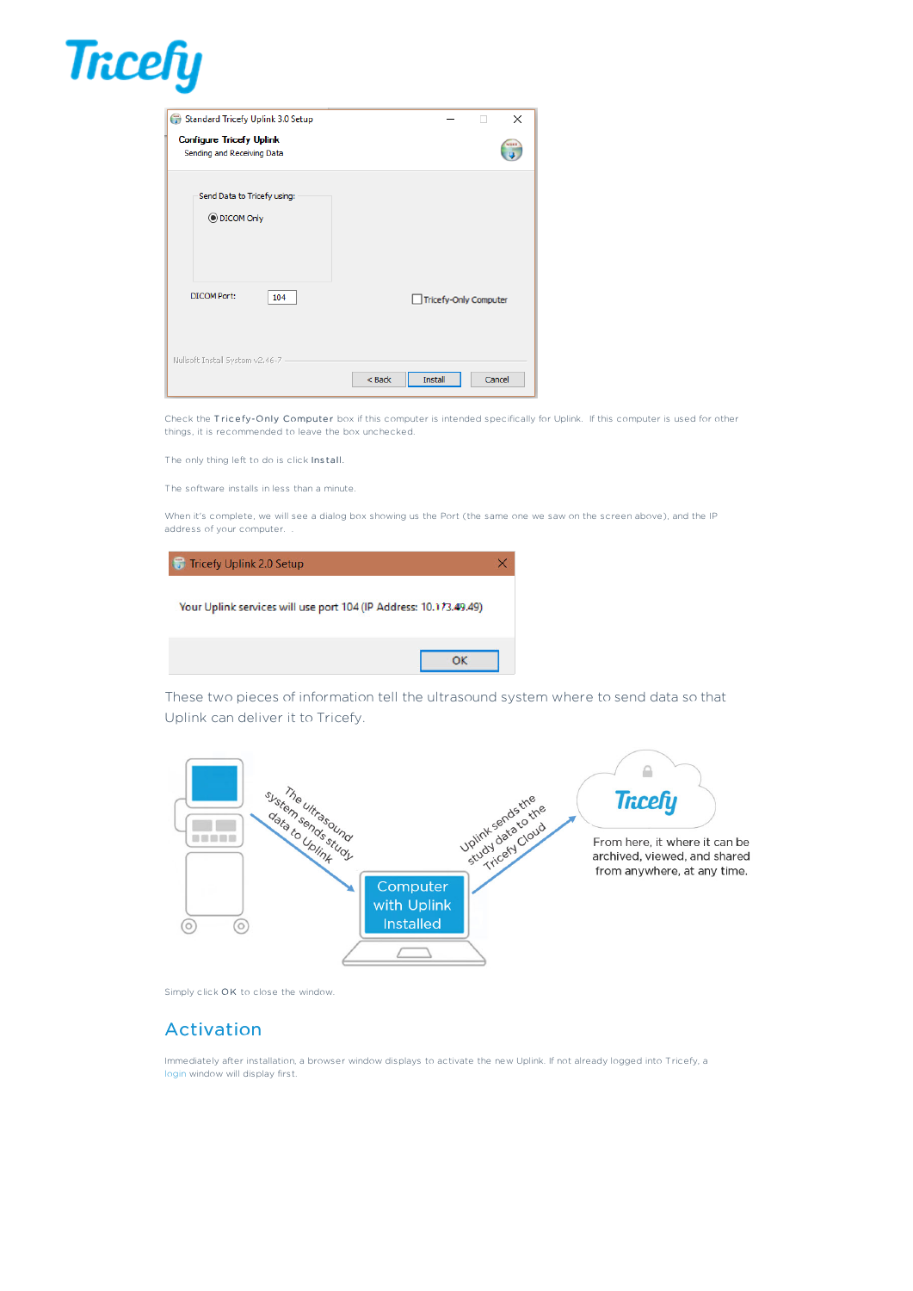

| Standard Tricefy Uplink 3.0 Setup                             | ×                             |
|---------------------------------------------------------------|-------------------------------|
| <b>Configure Tricefy Uplink</b><br>Sending and Receiving Data | <b>Work 6</b>                 |
| Send Data to Tricefy using:<br><b>O</b> DICOM Only            |                               |
| <b>DICOM Port:</b><br>104                                     | Tricefy-Only Computer         |
| Nullsoft Install System v2.46-7 -                             | $<$ Back<br>Cancel<br>Install |

Check the Tricefy-Only Computer box if this computer is intended specifically for Uplink. If this computer is used for other things, it is recommended to leave the box unchecked.

The only thing left to do is click Install.

The software installs in less than a minute.

When it's complete, we will see a dialog box showing us the Port (the same one we saw on the screen above), and the IP address of your computer. .

| Tricefy Uplink 2.0 Setup                                          |  |
|-------------------------------------------------------------------|--|
| Your Uplink services will use port 104 (IP Address: 10.173.49.49) |  |
|                                                                   |  |

These two pieces of information tell the ultrasound system where to send data so that Uplink can deliver it to Tricefy.



Simply click OK to close the window.

## Activation

Immediately after installation, a browser window displays to activate the new Uplink. If not already logged into Tricefy, a login window will display first.